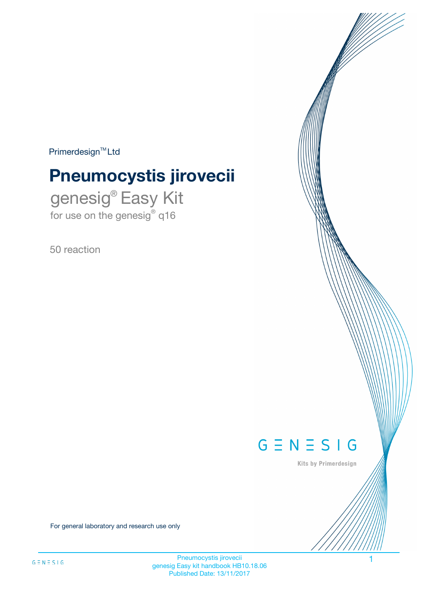$Primerdesign^{\text{TM}}Ltd$ 

# **Pneumocystis jirovecii**

genesig® Easy Kit for use on the genesig® q16

50 reaction



Kits by Primerdesign

For general laboratory and research use only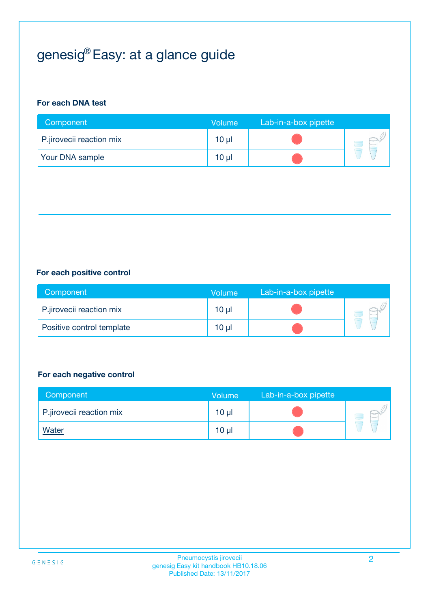# genesig® Easy: at a glance guide

## **For each DNA test**

| Component                | <b>Volume</b> | Lab-in-a-box pipette |  |
|--------------------------|---------------|----------------------|--|
| P.jirovecii reaction mix | 10 µl         |                      |  |
| <b>Your DNA sample</b>   | 10 µl         |                      |  |

## **For each positive control**

| Component                 | Volume          | Lab-in-a-box pipette |  |
|---------------------------|-----------------|----------------------|--|
| P.jirovecii reaction mix  | 10 <sub>µ</sub> |                      |  |
| Positive control template | $10 \mu$        |                      |  |

### **For each negative control**

| Component                | Volume          | Lab-in-a-box pipette |  |
|--------------------------|-----------------|----------------------|--|
| P.jirovecii reaction mix | 10 <sub>µ</sub> |                      |  |
| <u>Water</u>             | 10 <sub>µ</sub> |                      |  |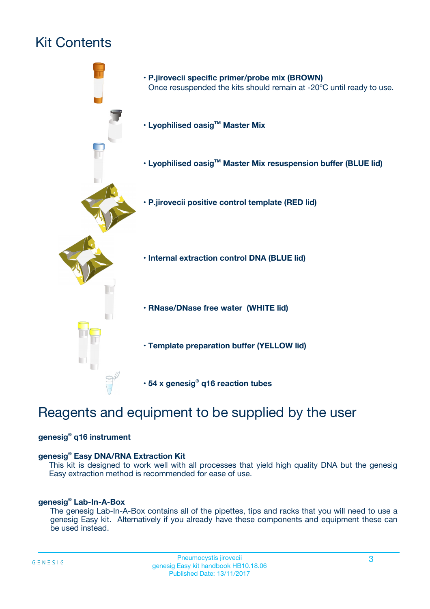## Kit Contents



## Reagents and equipment to be supplied by the user

## **genesig® q16 instrument**

### **genesig® Easy DNA/RNA Extraction Kit**

This kit is designed to work well with all processes that yield high quality DNA but the genesig Easy extraction method is recommended for ease of use.

### **genesig® Lab-In-A-Box**

The genesig Lab-In-A-Box contains all of the pipettes, tips and racks that you will need to use a genesig Easy kit. Alternatively if you already have these components and equipment these can be used instead.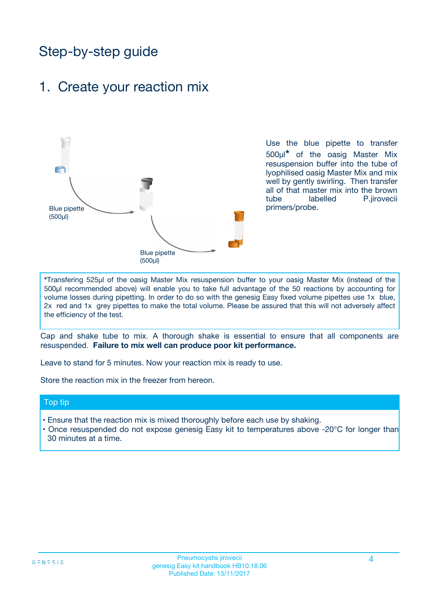## Step-by-step guide

## 1. Create your reaction mix



Use the blue pipette to transfer 500µl**\*** of the oasig Master Mix resuspension buffer into the tube of lyophilised oasig Master Mix and mix well by gently swirling. Then transfer all of that master mix into the brown tube labelled P.jirovecii primers/probe.

**\***Transfering 525µl of the oasig Master Mix resuspension buffer to your oasig Master Mix (instead of the 500µl recommended above) will enable you to take full advantage of the 50 reactions by accounting for volume losses during pipetting. In order to do so with the genesig Easy fixed volume pipettes use 1x blue, 2x red and 1x grey pipettes to make the total volume. Please be assured that this will not adversely affect the efficiency of the test.

Cap and shake tube to mix. A thorough shake is essential to ensure that all components are resuspended. **Failure to mix well can produce poor kit performance.**

Leave to stand for 5 minutes. Now your reaction mix is ready to use.

Store the reaction mix in the freezer from hereon.

### Top tip

- Ensure that the reaction mix is mixed thoroughly before each use by shaking.
- Once resuspended do not expose genesig Easy kit to temperatures above -20°C for longer than 30 minutes at a time.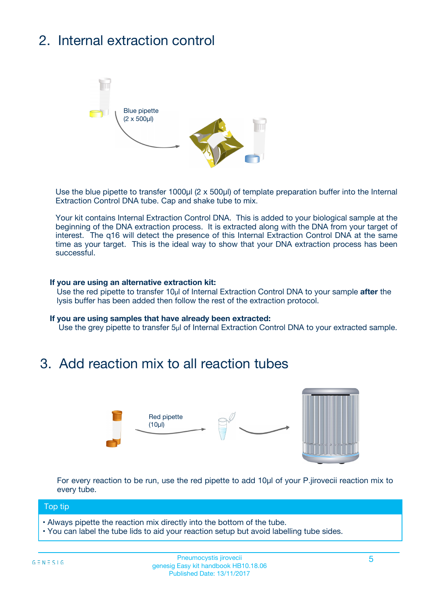# 2. Internal extraction control



Use the blue pipette to transfer 1000µl (2 x 500µl) of template preparation buffer into the Internal Extraction Control DNA tube. Cap and shake tube to mix.

Your kit contains Internal Extraction Control DNA. This is added to your biological sample at the beginning of the DNA extraction process. It is extracted along with the DNA from your target of interest. The q16 will detect the presence of this Internal Extraction Control DNA at the same time as your target. This is the ideal way to show that your DNA extraction process has been successful.

### **If you are using an alternative extraction kit:**

Use the red pipette to transfer 10µl of Internal Extraction Control DNA to your sample **after** the lysis buffer has been added then follow the rest of the extraction protocol.

#### **If you are using samples that have already been extracted:**

Use the grey pipette to transfer 5µl of Internal Extraction Control DNA to your extracted sample.

## 3. Add reaction mix to all reaction tubes



For every reaction to be run, use the red pipette to add 10µl of your P.jirovecii reaction mix to every tube.

### Top tip

- Always pipette the reaction mix directly into the bottom of the tube.
- You can label the tube lids to aid your reaction setup but avoid labelling tube sides.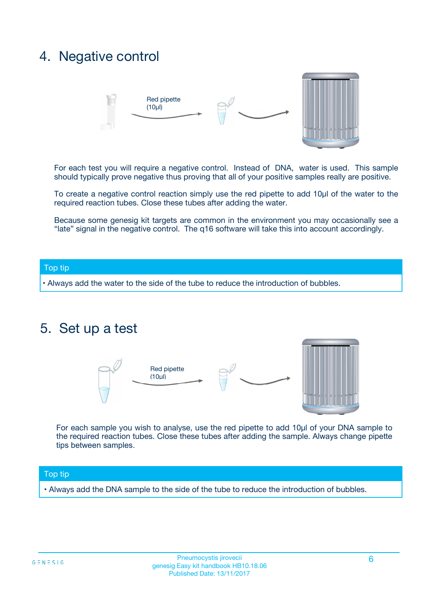## 4. Negative control



For each test you will require a negative control. Instead of DNA, water is used. This sample should typically prove negative thus proving that all of your positive samples really are positive.

To create a negative control reaction simply use the red pipette to add 10µl of the water to the required reaction tubes. Close these tubes after adding the water.

Because some genesig kit targets are common in the environment you may occasionally see a "late" signal in the negative control. The q16 software will take this into account accordingly.

### Top tip

**•** Always add the water to the side of the tube to reduce the introduction of bubbles.

## 5. Set up a test



For each sample you wish to analyse, use the red pipette to add 10µl of your DNA sample to the required reaction tubes. Close these tubes after adding the sample. Always change pipette tips between samples.

### Top tip

**•** Always add the DNA sample to the side of the tube to reduce the introduction of bubbles.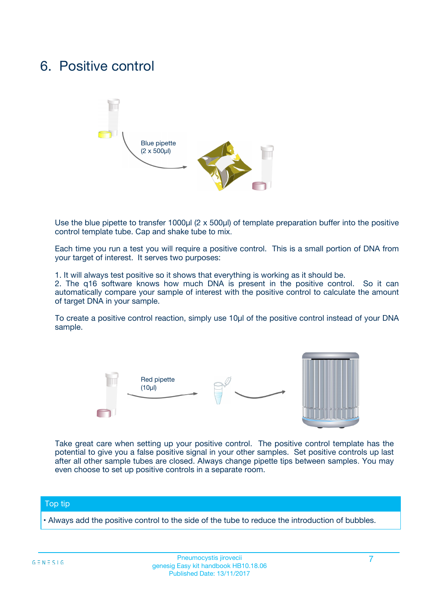## 6. Positive control



Use the blue pipette to transfer 1000µl (2 x 500µl) of template preparation buffer into the positive control template tube. Cap and shake tube to mix.

Each time you run a test you will require a positive control. This is a small portion of DNA from your target of interest. It serves two purposes:

1. It will always test positive so it shows that everything is working as it should be.

2. The q16 software knows how much DNA is present in the positive control. So it can automatically compare your sample of interest with the positive control to calculate the amount of target DNA in your sample.

To create a positive control reaction, simply use 10µl of the positive control instead of your DNA sample.



Take great care when setting up your positive control. The positive control template has the potential to give you a false positive signal in your other samples. Set positive controls up last after all other sample tubes are closed. Always change pipette tips between samples. You may even choose to set up positive controls in a separate room.

### Top tip

**•** Always add the positive control to the side of the tube to reduce the introduction of bubbles.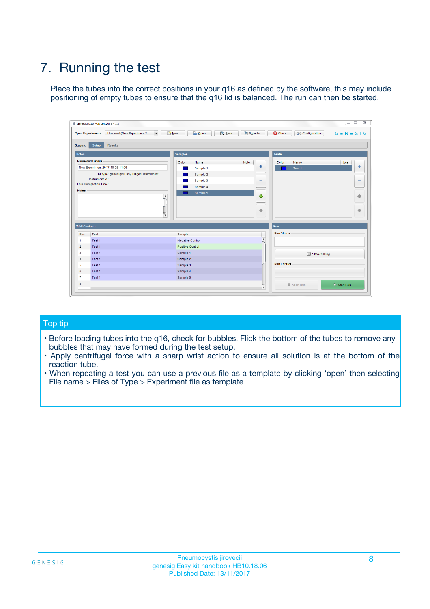# 7. Running the test

Place the tubes into the correct positions in your q16 as defined by the software, this may include positioning of empty tubes to ensure that the q16 lid is balanced. The run can then be started.

| genesig q16 PCR software - 1.2                                                    |                                            |                              |                                          | $\Box$ $\Box$<br>$\Sigma\!3$ |
|-----------------------------------------------------------------------------------|--------------------------------------------|------------------------------|------------------------------------------|------------------------------|
| $\overline{\phantom{a}}$<br><b>Open Experiments:</b><br>Unsaved (New Experiment 2 | <b>D</b> Open<br>Save<br>$\frac{1}{2}$ New | Save As                      | <b>C</b> Close<br><b>X</b> Configuration | $G \equiv N \equiv S \mid G$ |
| <b>Setup</b><br><b>Results</b><br><b>Stages:</b>                                  |                                            |                              |                                          |                              |
| <b>Notes</b>                                                                      | <b>Samples</b>                             |                              | <b>Tests</b>                             |                              |
| <b>Name and Details</b>                                                           | Color<br>Name                              | Note                         | Name<br>Color                            | Note                         |
| New Experiment 2017-10-26 11:06                                                   | Sample 1                                   | 좋                            | Test <sub>1</sub>                        | علي                          |
| Kit type: genesig® Easy Target Detection kit                                      | Sample 2                                   |                              |                                          |                              |
| Instrument Id.:                                                                   | Sample 3                                   | $\qquad \qquad \blacksquare$ |                                          | $\qquad \qquad \blacksquare$ |
| <b>Run Completion Time:</b>                                                       | Sample 4                                   |                              |                                          |                              |
| <b>Notes</b><br>$\blacktriangle$<br>$\overline{\mathbf{v}}$                       | Sample 5                                   | $\triangle$<br>⊕             |                                          | ♠<br>⊕                       |
| <b>Well Contents</b>                                                              |                                            | <b>Run</b>                   |                                          |                              |
| Pos.<br>Test                                                                      | Sample                                     |                              | <b>Run Status</b>                        |                              |
| $\overline{1}$<br>Test 1                                                          | <b>Negative Control</b>                    | $\overline{\phantom{a}}$     |                                          |                              |
| $\overline{2}$<br>Test 1                                                          | Positive Control                           |                              |                                          |                              |
| 3<br>Test 1                                                                       | Sample 1                                   |                              | Show full log                            |                              |
| Test 1<br>$\overline{4}$                                                          | Sample 2                                   |                              |                                          |                              |
| 5<br>Test 1                                                                       | Sample 3                                   |                              | <b>Run Control</b>                       |                              |
| 6<br>Test 1                                                                       | Sample 4                                   |                              |                                          |                              |
| $\overline{7}$<br>Test 1                                                          | Sample 5                                   |                              |                                          |                              |
| 8                                                                                 |                                            |                              | Abort Run                                | $\triangleright$ Start Run   |
| <b>JOD FURTY TUDE TO BUILDED IN</b><br>$\sim$                                     |                                            | v                            |                                          |                              |

## Top tip

- Before loading tubes into the q16, check for bubbles! Flick the bottom of the tubes to remove any bubbles that may have formed during the test setup.
- Apply centrifugal force with a sharp wrist action to ensure all solution is at the bottom of the reaction tube.
- When repeating a test you can use a previous file as a template by clicking 'open' then selecting File name > Files of Type > Experiment file as template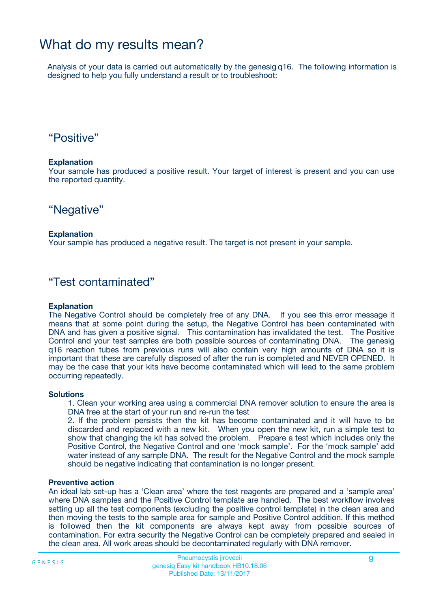## What do my results mean?

Analysis of your data is carried out automatically by the genesig q16. The following information is designed to help you fully understand a result or to troubleshoot:

## "Positive"

### **Explanation**

Your sample has produced a positive result. Your target of interest is present and you can use the reported quantity.

## "Negative"

### **Explanation**

Your sample has produced a negative result. The target is not present in your sample.

## "Test contaminated"

### **Explanation**

The Negative Control should be completely free of any DNA. If you see this error message it means that at some point during the setup, the Negative Control has been contaminated with DNA and has given a positive signal. This contamination has invalidated the test. The Positive Control and your test samples are both possible sources of contaminating DNA. The genesig q16 reaction tubes from previous runs will also contain very high amounts of DNA so it is important that these are carefully disposed of after the run is completed and NEVER OPENED. It may be the case that your kits have become contaminated which will lead to the same problem occurring repeatedly.

### **Solutions**

1. Clean your working area using a commercial DNA remover solution to ensure the area is DNA free at the start of your run and re-run the test

2. If the problem persists then the kit has become contaminated and it will have to be discarded and replaced with a new kit. When you open the new kit, run a simple test to show that changing the kit has solved the problem. Prepare a test which includes only the Positive Control, the Negative Control and one 'mock sample'. For the 'mock sample' add water instead of any sample DNA. The result for the Negative Control and the mock sample should be negative indicating that contamination is no longer present.

### **Preventive action**

An ideal lab set-up has a 'Clean area' where the test reagents are prepared and a 'sample area' where DNA samples and the Positive Control template are handled. The best workflow involves setting up all the test components (excluding the positive control template) in the clean area and then moving the tests to the sample area for sample and Positive Control addition. If this method is followed then the kit components are always kept away from possible sources of contamination. For extra security the Negative Control can be completely prepared and sealed in the clean area. All work areas should be decontaminated regularly with DNA remover.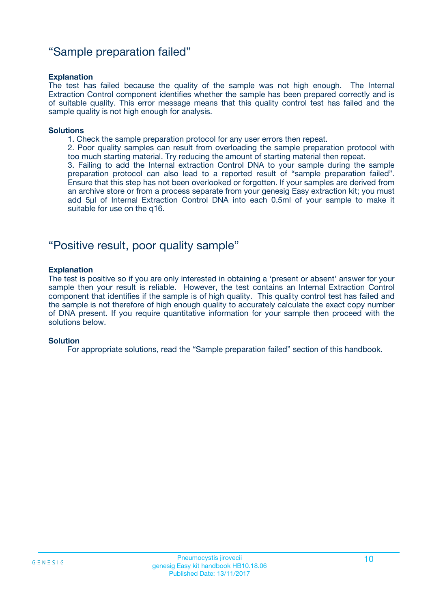## "Sample preparation failed"

### **Explanation**

The test has failed because the quality of the sample was not high enough. The Internal Extraction Control component identifies whether the sample has been prepared correctly and is of suitable quality. This error message means that this quality control test has failed and the sample quality is not high enough for analysis.

#### **Solutions**

1. Check the sample preparation protocol for any user errors then repeat.

2. Poor quality samples can result from overloading the sample preparation protocol with too much starting material. Try reducing the amount of starting material then repeat.

3. Failing to add the Internal extraction Control DNA to your sample during the sample preparation protocol can also lead to a reported result of "sample preparation failed". Ensure that this step has not been overlooked or forgotten. If your samples are derived from an archive store or from a process separate from your genesig Easy extraction kit; you must add 5µl of Internal Extraction Control DNA into each 0.5ml of your sample to make it suitable for use on the q16.

## "Positive result, poor quality sample"

### **Explanation**

The test is positive so if you are only interested in obtaining a 'present or absent' answer for your sample then your result is reliable. However, the test contains an Internal Extraction Control component that identifies if the sample is of high quality. This quality control test has failed and the sample is not therefore of high enough quality to accurately calculate the exact copy number of DNA present. If you require quantitative information for your sample then proceed with the solutions below.

### **Solution**

For appropriate solutions, read the "Sample preparation failed" section of this handbook.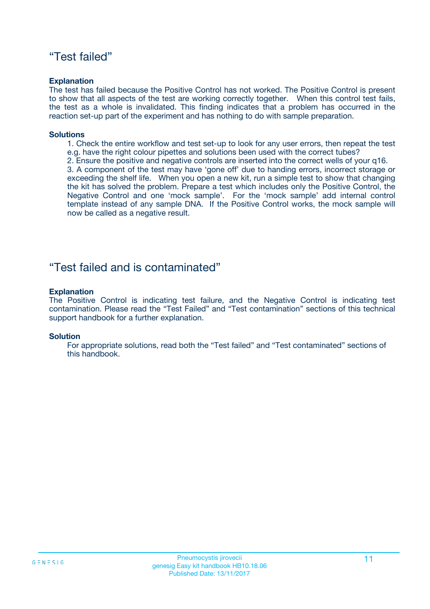## "Test failed"

### **Explanation**

The test has failed because the Positive Control has not worked. The Positive Control is present to show that all aspects of the test are working correctly together. When this control test fails, the test as a whole is invalidated. This finding indicates that a problem has occurred in the reaction set-up part of the experiment and has nothing to do with sample preparation.

### **Solutions**

- 1. Check the entire workflow and test set-up to look for any user errors, then repeat the test e.g. have the right colour pipettes and solutions been used with the correct tubes?
- 2. Ensure the positive and negative controls are inserted into the correct wells of your q16.

3. A component of the test may have 'gone off' due to handing errors, incorrect storage or exceeding the shelf life. When you open a new kit, run a simple test to show that changing the kit has solved the problem. Prepare a test which includes only the Positive Control, the Negative Control and one 'mock sample'. For the 'mock sample' add internal control template instead of any sample DNA. If the Positive Control works, the mock sample will now be called as a negative result.

## "Test failed and is contaminated"

### **Explanation**

The Positive Control is indicating test failure, and the Negative Control is indicating test contamination. Please read the "Test Failed" and "Test contamination" sections of this technical support handbook for a further explanation.

### **Solution**

For appropriate solutions, read both the "Test failed" and "Test contaminated" sections of this handbook.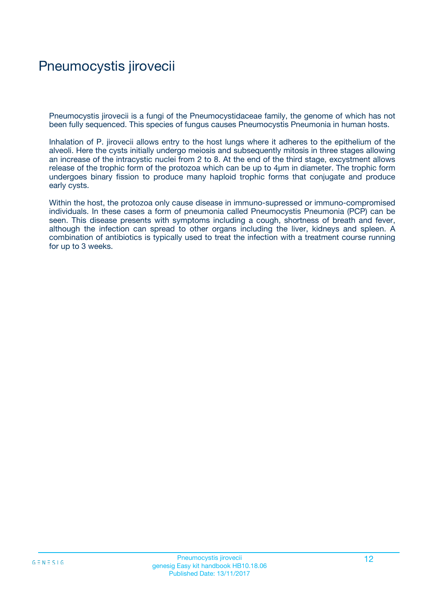## Pneumocystis jirovecii

Pneumocystis jirovecii is a fungi of the Pneumocystidaceae family, the genome of which has not been fully sequenced. This species of fungus causes Pneumocystis Pneumonia in human hosts.

Inhalation of P. jirovecii allows entry to the host lungs where it adheres to the epithelium of the alveoli. Here the cysts initially undergo meiosis and subsequently mitosis in three stages allowing an increase of the intracystic nuclei from 2 to 8. At the end of the third stage, excystment allows release of the trophic form of the protozoa which can be up to 4µm in diameter. The trophic form undergoes binary fission to produce many haploid trophic forms that conjugate and produce early cysts.

Within the host, the protozoa only cause disease in immuno-supressed or immuno-compromised individuals. In these cases a form of pneumonia called Pneumocystis Pneumonia (PCP) can be seen. This disease presents with symptoms including a cough, shortness of breath and fever, although the infection can spread to other organs including the liver, kidneys and spleen. A combination of antibiotics is typically used to treat the infection with a treatment course running for up to 3 weeks.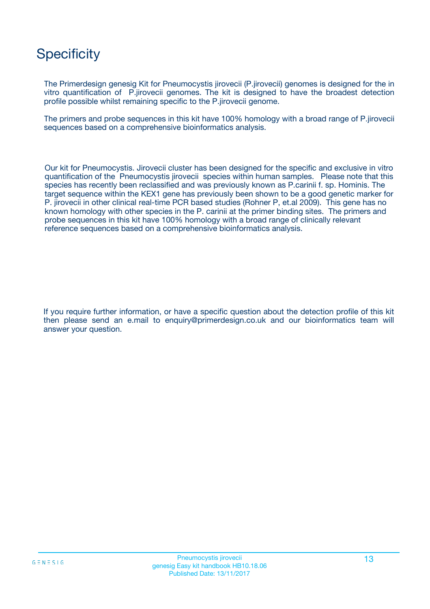## **Specificity**

The Primerdesign genesig Kit for Pneumocystis jirovecii (P.jirovecii) genomes is designed for the in vitro quantification of P.jirovecii genomes. The kit is designed to have the broadest detection profile possible whilst remaining specific to the P.jirovecii genome.

The primers and probe sequences in this kit have 100% homology with a broad range of P.jirovecii sequences based on a comprehensive bioinformatics analysis.

Our kit for Pneumocystis. Jirovecii cluster has been designed for the specific and exclusive in vitro quantification of the Pneumocystis jirovecii species within human samples. Please note that this species has recently been reclassified and was previously known as P.carinii f. sp. Hominis. The target sequence within the KEX1 gene has previously been shown to be a good genetic marker for P. jirovecii in other clinical real-time PCR based studies (Rohner P, et.al 2009). This gene has no known homology with other species in the P. carinii at the primer binding sites. The primers and probe sequences in this kit have 100% homology with a broad range of clinically relevant reference sequences based on a comprehensive bioinformatics analysis.

If you require further information, or have a specific question about the detection profile of this kit then please send an e.mail to enquiry@primerdesign.co.uk and our bioinformatics team will answer your question.